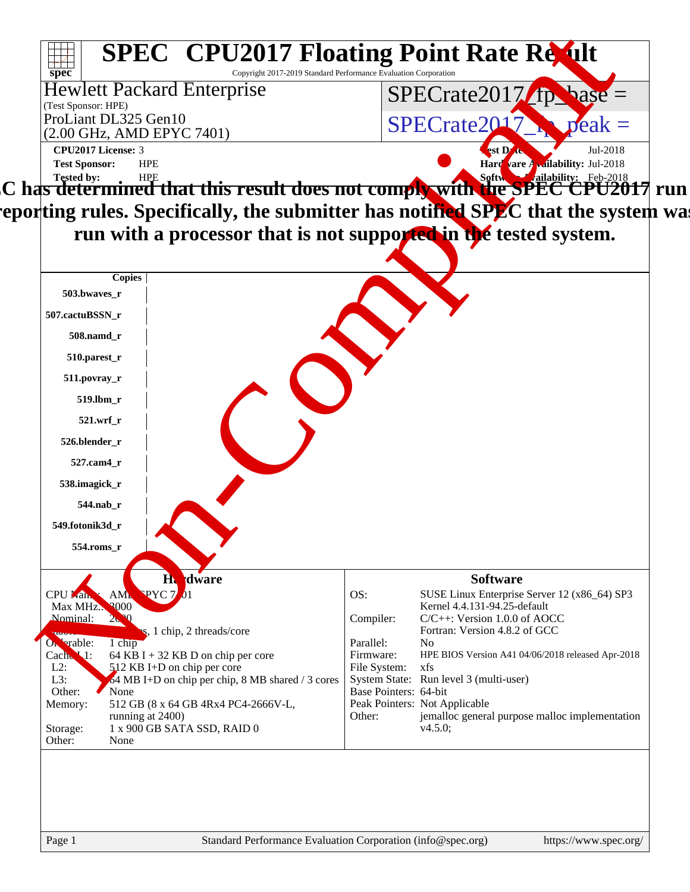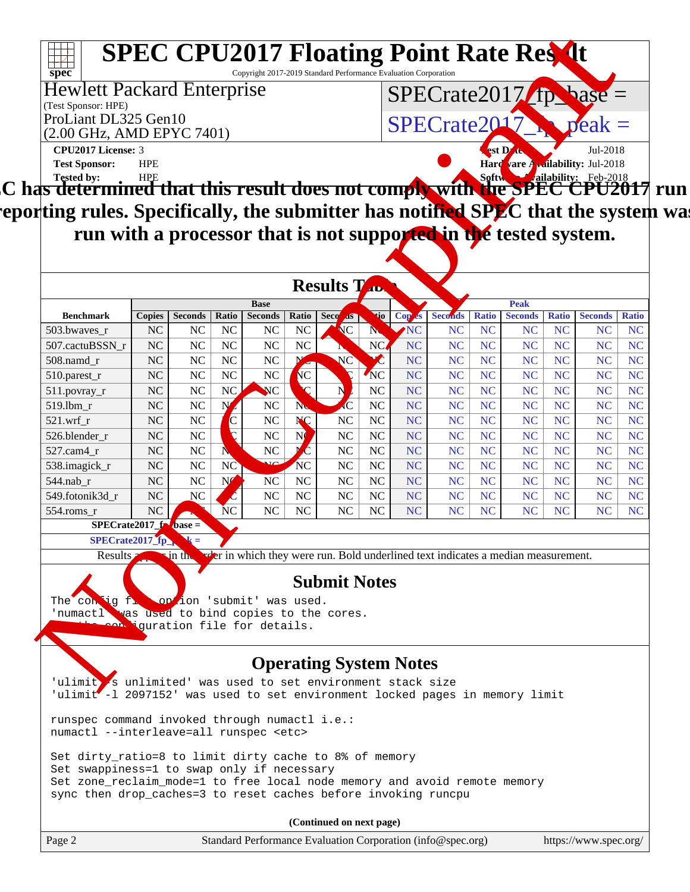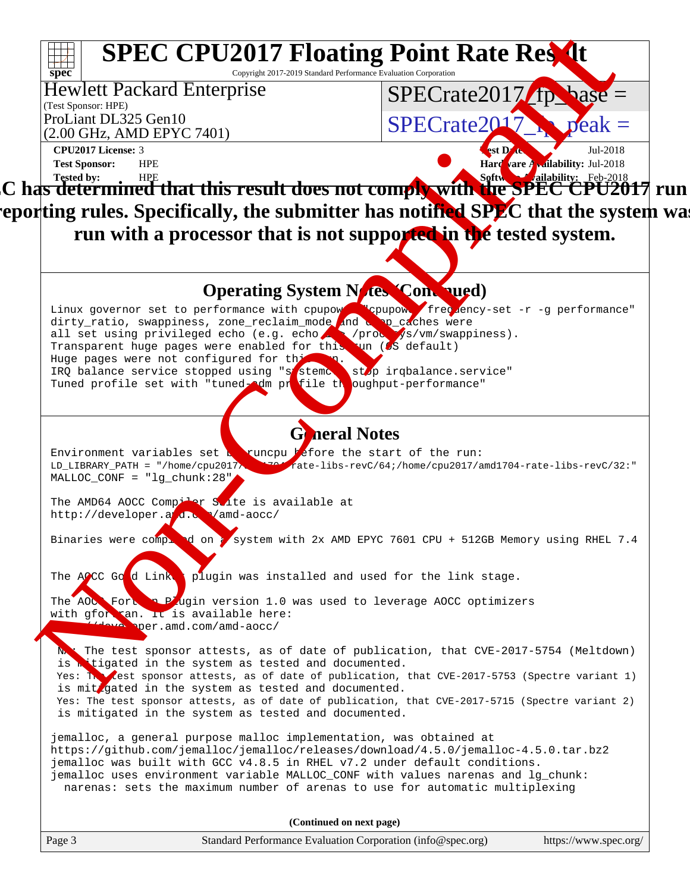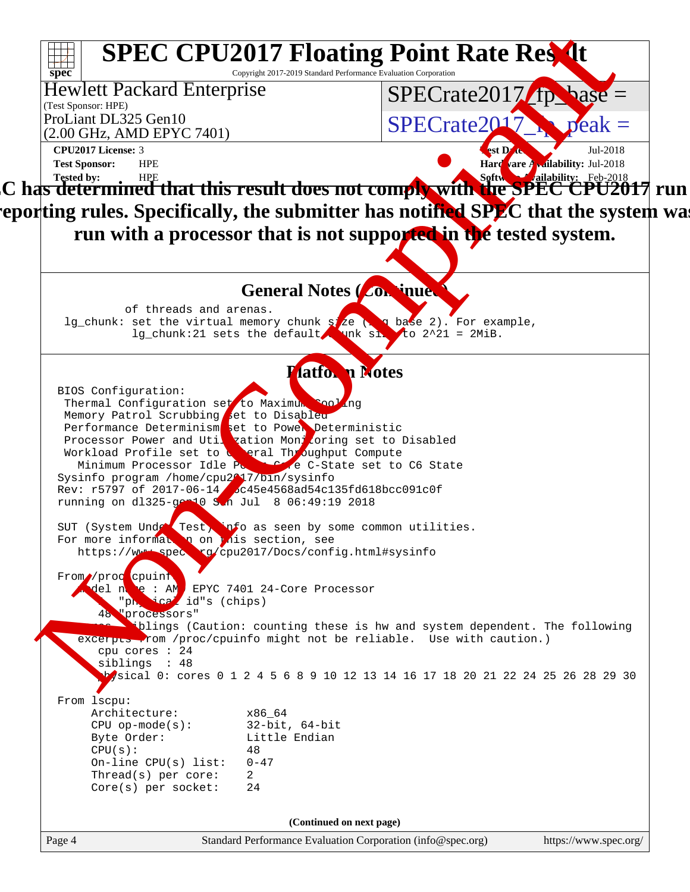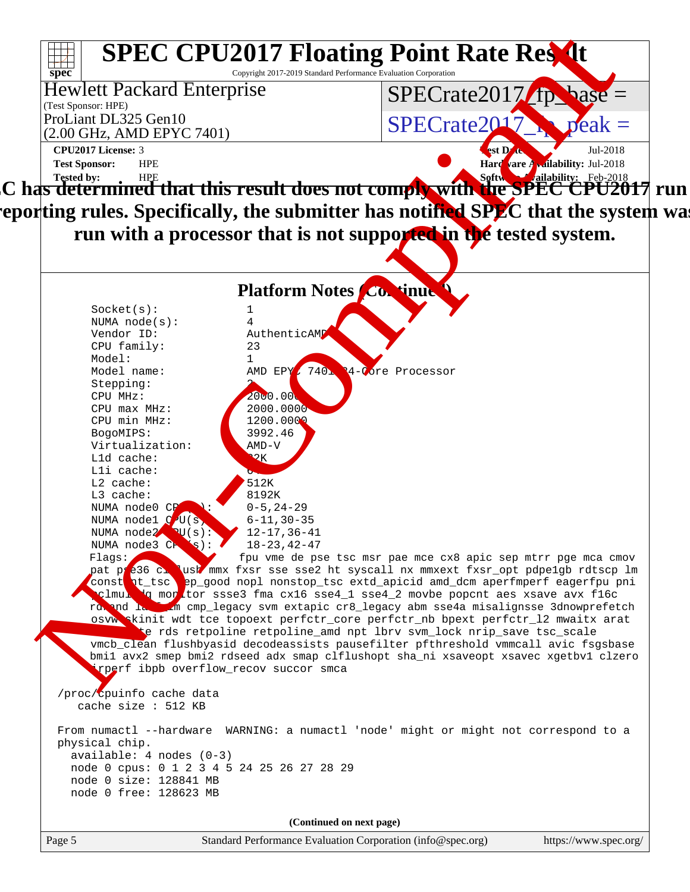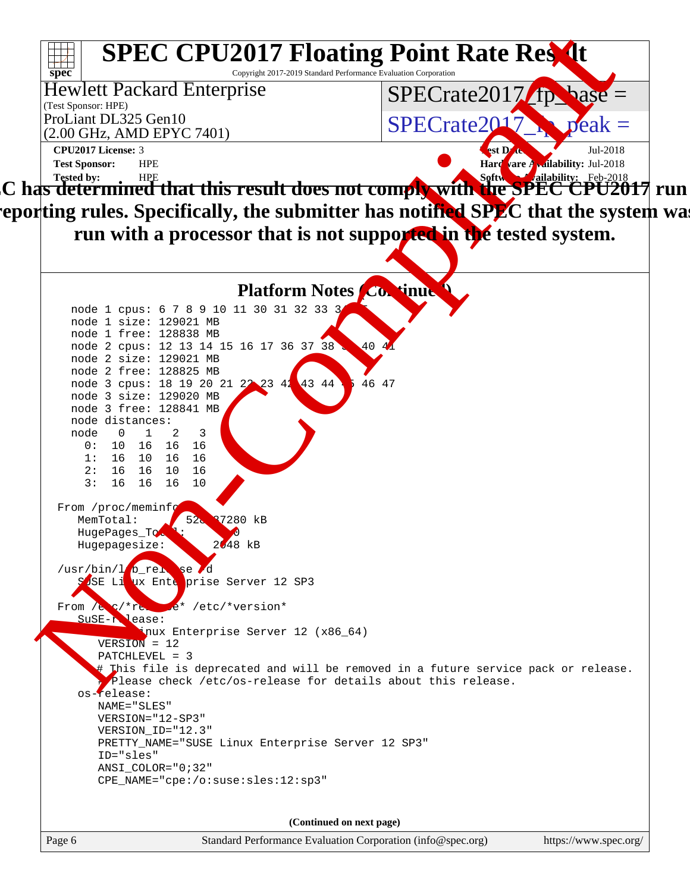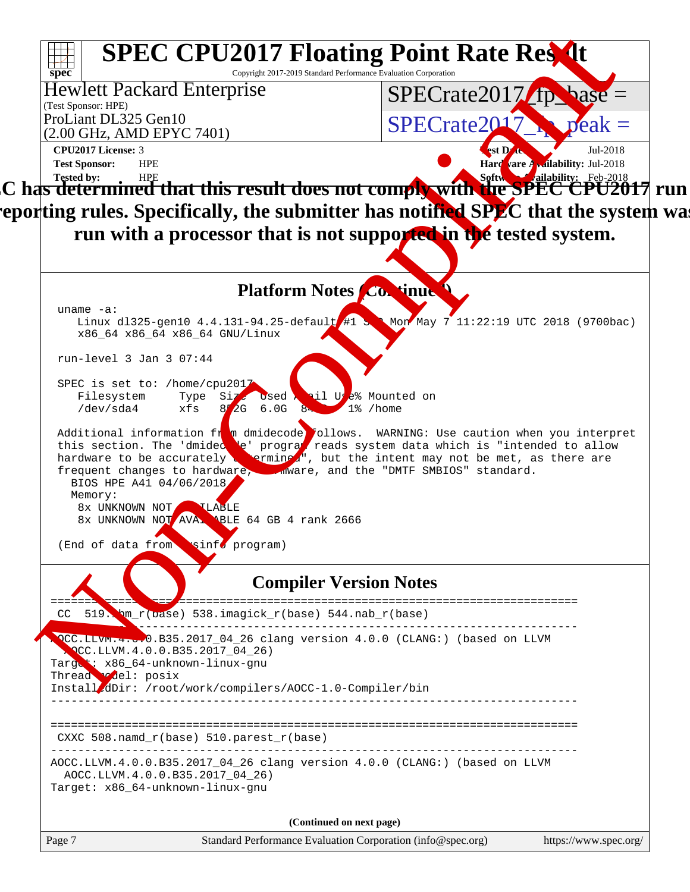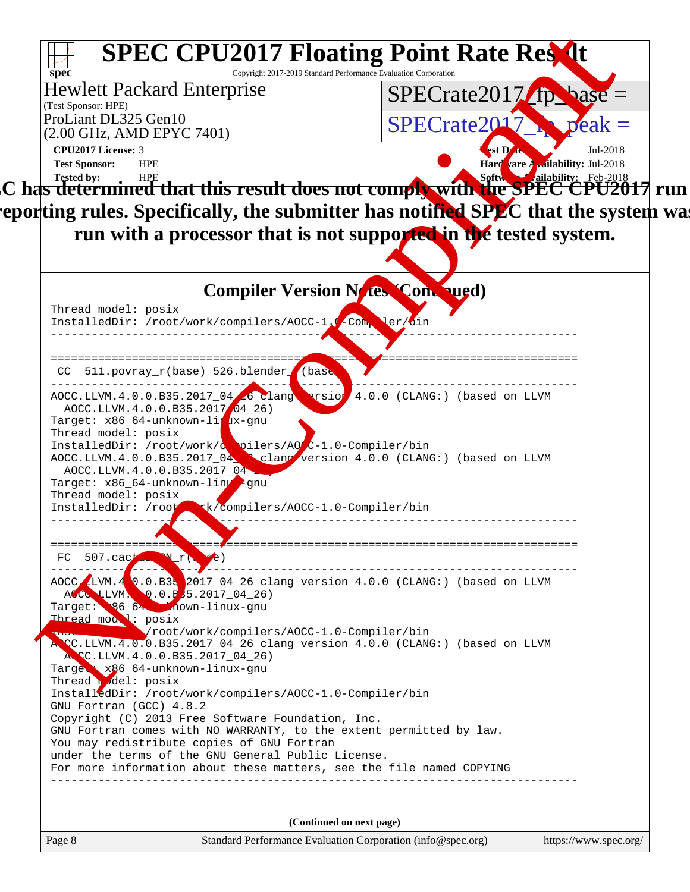| $SPECrate2017$ (ip base =<br>$SPECrate2017$ $peak =$<br>CPU2017 License: 3<br><b>vst D'att</b><br>Jul-2018<br><b>Hard</b> are Analability: Jul-2018<br><b>Test Sponsor:</b><br><b>HPE</b><br>$\vert$ C has determined that this result does not comply with the SPEC CPU201<br>l7 run <br> epor ting rules. Specifically, the submitter has notified SPLC that the system wal<br>run with a processor that is not supported in the tested system.<br><b>Compiler Version Noves Compued)</b><br>Thread model: posix<br>InstalledDir: /root/work/compilers/AOCC-1.0 Compler/bin<br>CC 511.povray_r(base) 526.blender_f(base<br>$AOCC.LLVM.4.0.0.B35.2017_04.50 Crang$ arsion $4.0.0$ (CLANG:) (based on LLVM<br>AOCC.LLVM.4.0.0.B35.2017 04 26)<br>Target: x86_64-unknown-lirux-gnu<br>Thread model: posix<br>InstalledDir: /root/work/declers/AOC-1.0-Compiler/bin<br>AOCC.LLVM.4.0.0.B35.2017_04 clane version 4.0.0 (CLANG:) (based on LLVM<br>AOCC.LLVM.4.0.0.B35.2017 04<br>Target: x86_64-unknown-linuter<br>Thread model: posix<br>InstalledDir: /root k/compilers/AOCC-1.0-Compiler/bin<br>============ <del>=</del><br>$507$ .cact $\mathbf{x}$ r $(\mathbf{e}^2)$<br>FC<br>AOCC LUM. $4$ 0.0. B3. 2017_04_26 clang version 4.0.0 (CLANG:) (based on LLVM<br>AOCO LLVM. 0.0.P35.2017_04_26)<br>Target: 86 6. Jnown-linux-gnu<br>Thread model: posix<br>Vroot/work/compilers/AOCC-1.0-Compiler/bin<br>A CC.LLVM.4.0.0.B35.2017_04_26 clang version 4.0.0 (CLANG:) (based on LLVM<br>ACC.LLVM.4.0.0.B35.2017_04_26)<br>Targes: x86 64-unknown-linux-gnu<br>Thread del: posix<br>InstalledDir: /root/work/compilers/AOCC-1.0-Compiler/bin<br>GNU Fortran (GCC) 4.8.2<br>Copyright (C) 2013 Free Software Foundation, Inc.<br>GNU Fortran comes with NO WARRANTY, to the extent permitted by law.<br>You may redistribute copies of GNU Fortran<br>under the terms of the GNU General Public License.<br>For more information about these matters, see the file named COPYING | (Test Sponsor: HPE)<br>ProLiant DL325 Gen10<br>(2.00 GHz, AMD EPYC 7401) |  |
|----------------------------------------------------------------------------------------------------------------------------------------------------------------------------------------------------------------------------------------------------------------------------------------------------------------------------------------------------------------------------------------------------------------------------------------------------------------------------------------------------------------------------------------------------------------------------------------------------------------------------------------------------------------------------------------------------------------------------------------------------------------------------------------------------------------------------------------------------------------------------------------------------------------------------------------------------------------------------------------------------------------------------------------------------------------------------------------------------------------------------------------------------------------------------------------------------------------------------------------------------------------------------------------------------------------------------------------------------------------------------------------------------------------------------------------------------------------------------------------------------------------------------------------------------------------------------------------------------------------------------------------------------------------------------------------------------------------------------------------------------------------------------------------------------------------------------------------------------------------------------------------------------------------------------------------------------------------------------------|--------------------------------------------------------------------------|--|
|                                                                                                                                                                                                                                                                                                                                                                                                                                                                                                                                                                                                                                                                                                                                                                                                                                                                                                                                                                                                                                                                                                                                                                                                                                                                                                                                                                                                                                                                                                                                                                                                                                                                                                                                                                                                                                                                                                                                                                                  |                                                                          |  |
|                                                                                                                                                                                                                                                                                                                                                                                                                                                                                                                                                                                                                                                                                                                                                                                                                                                                                                                                                                                                                                                                                                                                                                                                                                                                                                                                                                                                                                                                                                                                                                                                                                                                                                                                                                                                                                                                                                                                                                                  |                                                                          |  |
|                                                                                                                                                                                                                                                                                                                                                                                                                                                                                                                                                                                                                                                                                                                                                                                                                                                                                                                                                                                                                                                                                                                                                                                                                                                                                                                                                                                                                                                                                                                                                                                                                                                                                                                                                                                                                                                                                                                                                                                  |                                                                          |  |
|                                                                                                                                                                                                                                                                                                                                                                                                                                                                                                                                                                                                                                                                                                                                                                                                                                                                                                                                                                                                                                                                                                                                                                                                                                                                                                                                                                                                                                                                                                                                                                                                                                                                                                                                                                                                                                                                                                                                                                                  |                                                                          |  |
|                                                                                                                                                                                                                                                                                                                                                                                                                                                                                                                                                                                                                                                                                                                                                                                                                                                                                                                                                                                                                                                                                                                                                                                                                                                                                                                                                                                                                                                                                                                                                                                                                                                                                                                                                                                                                                                                                                                                                                                  |                                                                          |  |
|                                                                                                                                                                                                                                                                                                                                                                                                                                                                                                                                                                                                                                                                                                                                                                                                                                                                                                                                                                                                                                                                                                                                                                                                                                                                                                                                                                                                                                                                                                                                                                                                                                                                                                                                                                                                                                                                                                                                                                                  |                                                                          |  |
|                                                                                                                                                                                                                                                                                                                                                                                                                                                                                                                                                                                                                                                                                                                                                                                                                                                                                                                                                                                                                                                                                                                                                                                                                                                                                                                                                                                                                                                                                                                                                                                                                                                                                                                                                                                                                                                                                                                                                                                  |                                                                          |  |
|                                                                                                                                                                                                                                                                                                                                                                                                                                                                                                                                                                                                                                                                                                                                                                                                                                                                                                                                                                                                                                                                                                                                                                                                                                                                                                                                                                                                                                                                                                                                                                                                                                                                                                                                                                                                                                                                                                                                                                                  |                                                                          |  |
|                                                                                                                                                                                                                                                                                                                                                                                                                                                                                                                                                                                                                                                                                                                                                                                                                                                                                                                                                                                                                                                                                                                                                                                                                                                                                                                                                                                                                                                                                                                                                                                                                                                                                                                                                                                                                                                                                                                                                                                  |                                                                          |  |
|                                                                                                                                                                                                                                                                                                                                                                                                                                                                                                                                                                                                                                                                                                                                                                                                                                                                                                                                                                                                                                                                                                                                                                                                                                                                                                                                                                                                                                                                                                                                                                                                                                                                                                                                                                                                                                                                                                                                                                                  |                                                                          |  |
|                                                                                                                                                                                                                                                                                                                                                                                                                                                                                                                                                                                                                                                                                                                                                                                                                                                                                                                                                                                                                                                                                                                                                                                                                                                                                                                                                                                                                                                                                                                                                                                                                                                                                                                                                                                                                                                                                                                                                                                  |                                                                          |  |
|                                                                                                                                                                                                                                                                                                                                                                                                                                                                                                                                                                                                                                                                                                                                                                                                                                                                                                                                                                                                                                                                                                                                                                                                                                                                                                                                                                                                                                                                                                                                                                                                                                                                                                                                                                                                                                                                                                                                                                                  |                                                                          |  |
|                                                                                                                                                                                                                                                                                                                                                                                                                                                                                                                                                                                                                                                                                                                                                                                                                                                                                                                                                                                                                                                                                                                                                                                                                                                                                                                                                                                                                                                                                                                                                                                                                                                                                                                                                                                                                                                                                                                                                                                  |                                                                          |  |
|                                                                                                                                                                                                                                                                                                                                                                                                                                                                                                                                                                                                                                                                                                                                                                                                                                                                                                                                                                                                                                                                                                                                                                                                                                                                                                                                                                                                                                                                                                                                                                                                                                                                                                                                                                                                                                                                                                                                                                                  |                                                                          |  |
|                                                                                                                                                                                                                                                                                                                                                                                                                                                                                                                                                                                                                                                                                                                                                                                                                                                                                                                                                                                                                                                                                                                                                                                                                                                                                                                                                                                                                                                                                                                                                                                                                                                                                                                                                                                                                                                                                                                                                                                  |                                                                          |  |
|                                                                                                                                                                                                                                                                                                                                                                                                                                                                                                                                                                                                                                                                                                                                                                                                                                                                                                                                                                                                                                                                                                                                                                                                                                                                                                                                                                                                                                                                                                                                                                                                                                                                                                                                                                                                                                                                                                                                                                                  |                                                                          |  |
|                                                                                                                                                                                                                                                                                                                                                                                                                                                                                                                                                                                                                                                                                                                                                                                                                                                                                                                                                                                                                                                                                                                                                                                                                                                                                                                                                                                                                                                                                                                                                                                                                                                                                                                                                                                                                                                                                                                                                                                  |                                                                          |  |
|                                                                                                                                                                                                                                                                                                                                                                                                                                                                                                                                                                                                                                                                                                                                                                                                                                                                                                                                                                                                                                                                                                                                                                                                                                                                                                                                                                                                                                                                                                                                                                                                                                                                                                                                                                                                                                                                                                                                                                                  |                                                                          |  |
|                                                                                                                                                                                                                                                                                                                                                                                                                                                                                                                                                                                                                                                                                                                                                                                                                                                                                                                                                                                                                                                                                                                                                                                                                                                                                                                                                                                                                                                                                                                                                                                                                                                                                                                                                                                                                                                                                                                                                                                  |                                                                          |  |
|                                                                                                                                                                                                                                                                                                                                                                                                                                                                                                                                                                                                                                                                                                                                                                                                                                                                                                                                                                                                                                                                                                                                                                                                                                                                                                                                                                                                                                                                                                                                                                                                                                                                                                                                                                                                                                                                                                                                                                                  |                                                                          |  |
|                                                                                                                                                                                                                                                                                                                                                                                                                                                                                                                                                                                                                                                                                                                                                                                                                                                                                                                                                                                                                                                                                                                                                                                                                                                                                                                                                                                                                                                                                                                                                                                                                                                                                                                                                                                                                                                                                                                                                                                  |                                                                          |  |
|                                                                                                                                                                                                                                                                                                                                                                                                                                                                                                                                                                                                                                                                                                                                                                                                                                                                                                                                                                                                                                                                                                                                                                                                                                                                                                                                                                                                                                                                                                                                                                                                                                                                                                                                                                                                                                                                                                                                                                                  |                                                                          |  |
|                                                                                                                                                                                                                                                                                                                                                                                                                                                                                                                                                                                                                                                                                                                                                                                                                                                                                                                                                                                                                                                                                                                                                                                                                                                                                                                                                                                                                                                                                                                                                                                                                                                                                                                                                                                                                                                                                                                                                                                  |                                                                          |  |
|                                                                                                                                                                                                                                                                                                                                                                                                                                                                                                                                                                                                                                                                                                                                                                                                                                                                                                                                                                                                                                                                                                                                                                                                                                                                                                                                                                                                                                                                                                                                                                                                                                                                                                                                                                                                                                                                                                                                                                                  |                                                                          |  |
|                                                                                                                                                                                                                                                                                                                                                                                                                                                                                                                                                                                                                                                                                                                                                                                                                                                                                                                                                                                                                                                                                                                                                                                                                                                                                                                                                                                                                                                                                                                                                                                                                                                                                                                                                                                                                                                                                                                                                                                  |                                                                          |  |
|                                                                                                                                                                                                                                                                                                                                                                                                                                                                                                                                                                                                                                                                                                                                                                                                                                                                                                                                                                                                                                                                                                                                                                                                                                                                                                                                                                                                                                                                                                                                                                                                                                                                                                                                                                                                                                                                                                                                                                                  |                                                                          |  |
|                                                                                                                                                                                                                                                                                                                                                                                                                                                                                                                                                                                                                                                                                                                                                                                                                                                                                                                                                                                                                                                                                                                                                                                                                                                                                                                                                                                                                                                                                                                                                                                                                                                                                                                                                                                                                                                                                                                                                                                  |                                                                          |  |
|                                                                                                                                                                                                                                                                                                                                                                                                                                                                                                                                                                                                                                                                                                                                                                                                                                                                                                                                                                                                                                                                                                                                                                                                                                                                                                                                                                                                                                                                                                                                                                                                                                                                                                                                                                                                                                                                                                                                                                                  |                                                                          |  |
|                                                                                                                                                                                                                                                                                                                                                                                                                                                                                                                                                                                                                                                                                                                                                                                                                                                                                                                                                                                                                                                                                                                                                                                                                                                                                                                                                                                                                                                                                                                                                                                                                                                                                                                                                                                                                                                                                                                                                                                  |                                                                          |  |
|                                                                                                                                                                                                                                                                                                                                                                                                                                                                                                                                                                                                                                                                                                                                                                                                                                                                                                                                                                                                                                                                                                                                                                                                                                                                                                                                                                                                                                                                                                                                                                                                                                                                                                                                                                                                                                                                                                                                                                                  |                                                                          |  |
|                                                                                                                                                                                                                                                                                                                                                                                                                                                                                                                                                                                                                                                                                                                                                                                                                                                                                                                                                                                                                                                                                                                                                                                                                                                                                                                                                                                                                                                                                                                                                                                                                                                                                                                                                                                                                                                                                                                                                                                  |                                                                          |  |
|                                                                                                                                                                                                                                                                                                                                                                                                                                                                                                                                                                                                                                                                                                                                                                                                                                                                                                                                                                                                                                                                                                                                                                                                                                                                                                                                                                                                                                                                                                                                                                                                                                                                                                                                                                                                                                                                                                                                                                                  |                                                                          |  |
|                                                                                                                                                                                                                                                                                                                                                                                                                                                                                                                                                                                                                                                                                                                                                                                                                                                                                                                                                                                                                                                                                                                                                                                                                                                                                                                                                                                                                                                                                                                                                                                                                                                                                                                                                                                                                                                                                                                                                                                  |                                                                          |  |
|                                                                                                                                                                                                                                                                                                                                                                                                                                                                                                                                                                                                                                                                                                                                                                                                                                                                                                                                                                                                                                                                                                                                                                                                                                                                                                                                                                                                                                                                                                                                                                                                                                                                                                                                                                                                                                                                                                                                                                                  |                                                                          |  |
|                                                                                                                                                                                                                                                                                                                                                                                                                                                                                                                                                                                                                                                                                                                                                                                                                                                                                                                                                                                                                                                                                                                                                                                                                                                                                                                                                                                                                                                                                                                                                                                                                                                                                                                                                                                                                                                                                                                                                                                  |                                                                          |  |
|                                                                                                                                                                                                                                                                                                                                                                                                                                                                                                                                                                                                                                                                                                                                                                                                                                                                                                                                                                                                                                                                                                                                                                                                                                                                                                                                                                                                                                                                                                                                                                                                                                                                                                                                                                                                                                                                                                                                                                                  |                                                                          |  |
|                                                                                                                                                                                                                                                                                                                                                                                                                                                                                                                                                                                                                                                                                                                                                                                                                                                                                                                                                                                                                                                                                                                                                                                                                                                                                                                                                                                                                                                                                                                                                                                                                                                                                                                                                                                                                                                                                                                                                                                  |                                                                          |  |
|                                                                                                                                                                                                                                                                                                                                                                                                                                                                                                                                                                                                                                                                                                                                                                                                                                                                                                                                                                                                                                                                                                                                                                                                                                                                                                                                                                                                                                                                                                                                                                                                                                                                                                                                                                                                                                                                                                                                                                                  |                                                                          |  |
|                                                                                                                                                                                                                                                                                                                                                                                                                                                                                                                                                                                                                                                                                                                                                                                                                                                                                                                                                                                                                                                                                                                                                                                                                                                                                                                                                                                                                                                                                                                                                                                                                                                                                                                                                                                                                                                                                                                                                                                  |                                                                          |  |
|                                                                                                                                                                                                                                                                                                                                                                                                                                                                                                                                                                                                                                                                                                                                                                                                                                                                                                                                                                                                                                                                                                                                                                                                                                                                                                                                                                                                                                                                                                                                                                                                                                                                                                                                                                                                                                                                                                                                                                                  |                                                                          |  |
|                                                                                                                                                                                                                                                                                                                                                                                                                                                                                                                                                                                                                                                                                                                                                                                                                                                                                                                                                                                                                                                                                                                                                                                                                                                                                                                                                                                                                                                                                                                                                                                                                                                                                                                                                                                                                                                                                                                                                                                  |                                                                          |  |
|                                                                                                                                                                                                                                                                                                                                                                                                                                                                                                                                                                                                                                                                                                                                                                                                                                                                                                                                                                                                                                                                                                                                                                                                                                                                                                                                                                                                                                                                                                                                                                                                                                                                                                                                                                                                                                                                                                                                                                                  |                                                                          |  |
|                                                                                                                                                                                                                                                                                                                                                                                                                                                                                                                                                                                                                                                                                                                                                                                                                                                                                                                                                                                                                                                                                                                                                                                                                                                                                                                                                                                                                                                                                                                                                                                                                                                                                                                                                                                                                                                                                                                                                                                  |                                                                          |  |
| (Continued on next page)                                                                                                                                                                                                                                                                                                                                                                                                                                                                                                                                                                                                                                                                                                                                                                                                                                                                                                                                                                                                                                                                                                                                                                                                                                                                                                                                                                                                                                                                                                                                                                                                                                                                                                                                                                                                                                                                                                                                                         |                                                                          |  |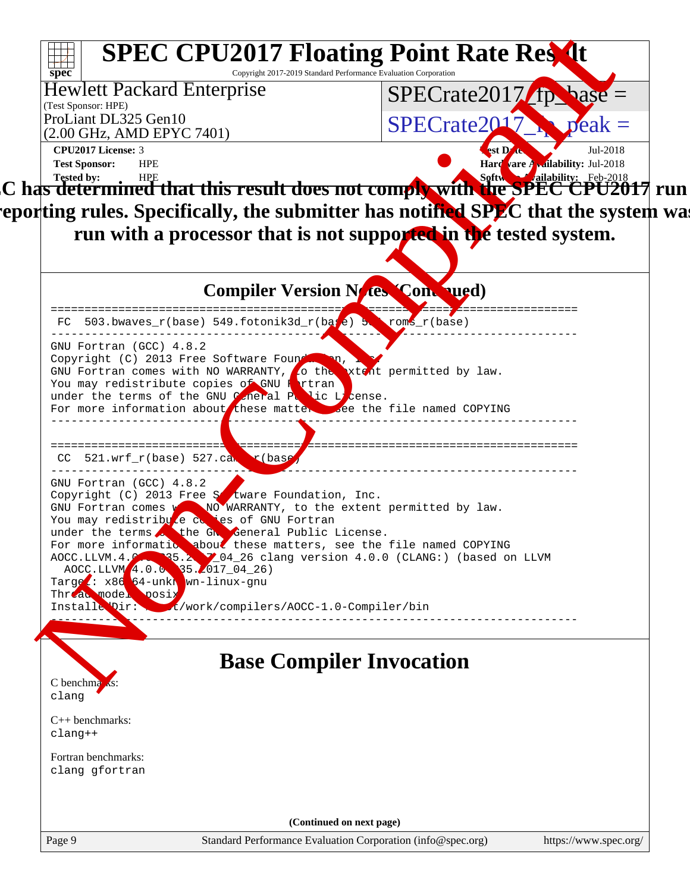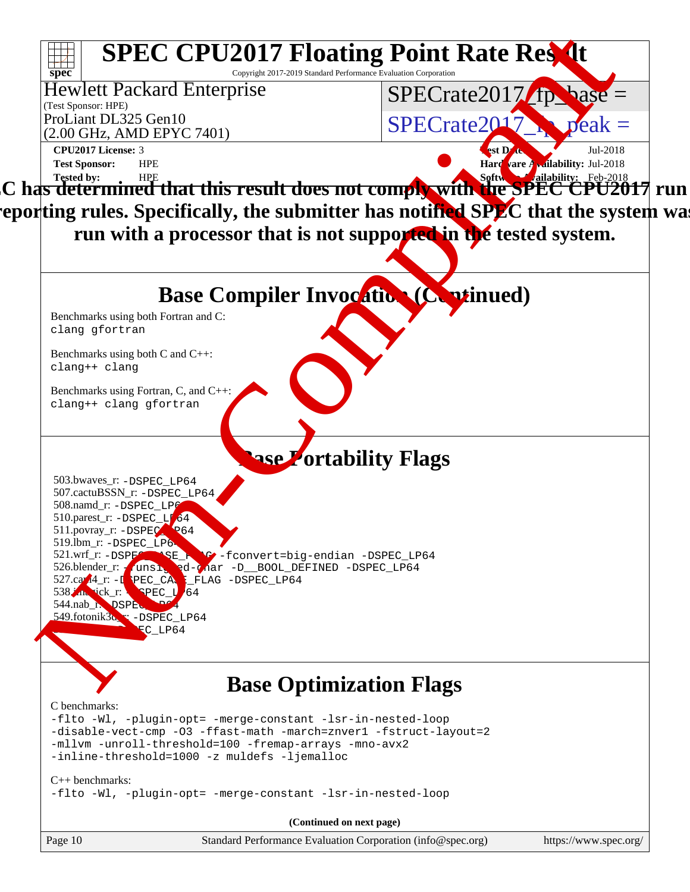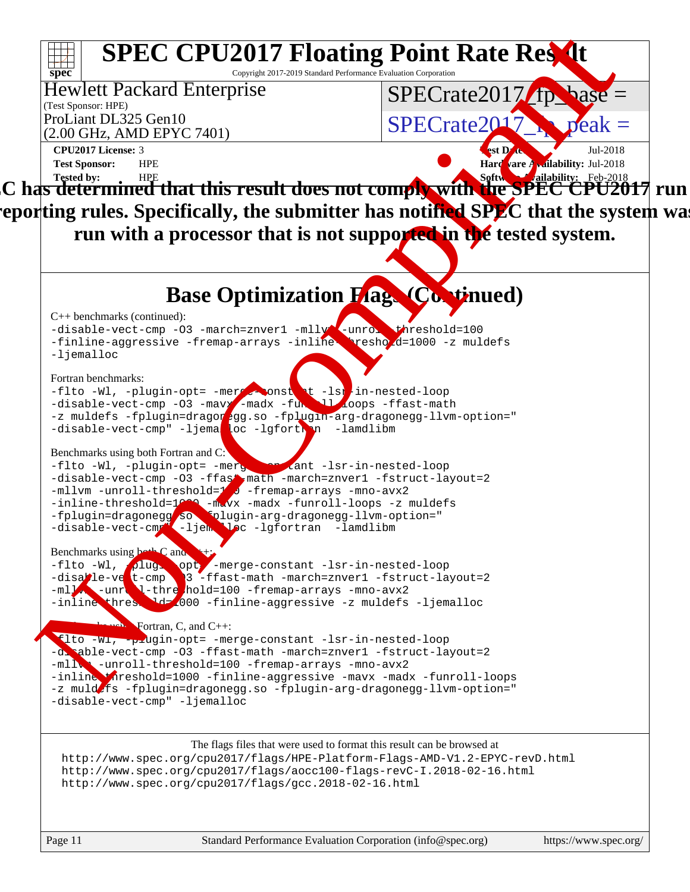